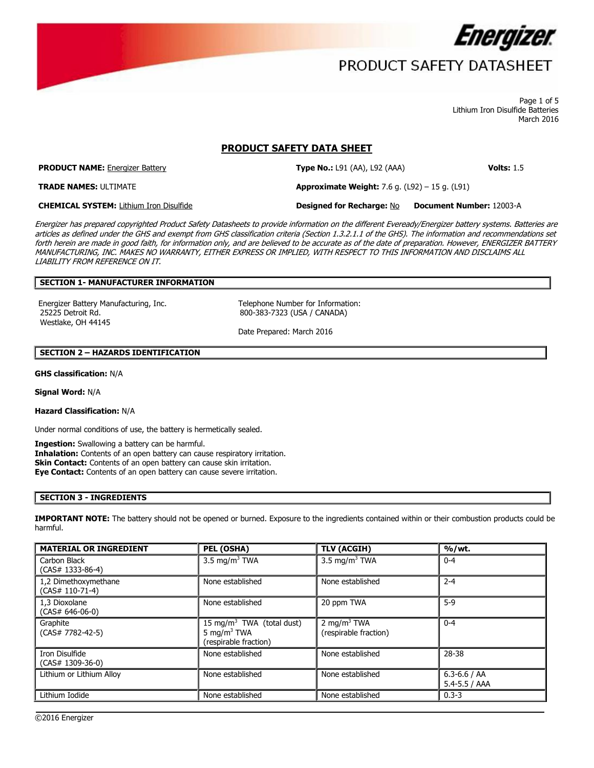

 Page 1 of 5 March 2016 Lithium Iron Disulfide Batteries

### **PRODUCT SAFETY DATA SHEET**

**PRODUCT NAME:** Energizer Battery **Type No.:** L91 (AA), L92 (AAA) **Volts:** 1.5

**Type No.: L91 (AA), L92 (AAA)** 

**Approximate Weight:** 7.6 g. (L92) – 15 g. (L91)

**TRADE NAMES: ULTIMATE** 

**Designed for Recharge: No CHEMICAL SYSTEM:** Lithium Iron Disulfide **Designed for Recharge:** No **Document Number:** 12003-A

 MANUFACTURING, INC. MAKES NO WARRANTY, EITHER EXPRESS OR IMPLIED, WITH RESPECT TO THIS INFORMATION AND DISCLAIMS ALL Energizer has prepared copyrighted Product Safety Datasheets to provide information on the different Eveready/Energizer battery systems. Batteries are articles as defined under the GHS and exempt from GHS classification criteria (Section 1.3.2.1.1 of the GHS). The information and recommendations set forth herein are made in good faith, for information only, and are believed to be accurate as of the date of preparation. However, ENERGIZER BATTERY LIABILITY FROM REFERENCE ON IT.

### **SECTION 1- MANUFACTURER INFORMATION**

Energizer Battery Manufacturing, Inc. Telephone Number for Information: 25225 Detroit Rd. 800-383-7323 (USA / CANADA) Westlake, OH 44145

Date Prepared: March 2016

#### **SECTION 2 – HAZARDS IDENTIFICATION**

**GHS classification:** N/A

**Signal Word:** N/A

**Hazard Classification:** N/A

Under normal conditions of use, the battery is hermetically sealed.

**Ingestion:** Swallowing a battery can be harmful.

 **Eye Contact:** Contents of an open battery can cause severe irritation. **Inhalation:** Contents of an open battery can cause respiratory irritation. **Skin Contact:** Contents of an open battery can cause skin irritation.

### **SECTION 3 - INGREDIENTS**

**IMPORTANT NOTE:** The battery should not be opened or burned. Exposure to the ingredients contained within or their combustion products could be harmful.

| <b>MATERIAL OR INGREDIENT</b>             | PEL (OSHA)                                                                                | <b>TLV (ACGIH)</b>                               | %/wt.                                 |  |
|-------------------------------------------|-------------------------------------------------------------------------------------------|--------------------------------------------------|---------------------------------------|--|
| Carbon Black<br>$(CAS# 1333-86-4)$        | 3.5 mg/m <sup>3</sup> TWA                                                                 | 3.5 mg/m <sup>3</sup> TWA                        | $0 - 4$                               |  |
| 1,2 Dimethoxymethane<br>$(CAS# 110-71-4)$ | None established                                                                          | None established                                 | $2 - 4$                               |  |
| 1,3 Dioxolane<br>$(CAS# 646-06-0)$        | None established                                                                          | 20 ppm TWA                                       | $5-9$                                 |  |
| Graphite<br>$(CAS# 7782-42-5)$            | 15 mg/m <sup>3</sup> TWA (total dust)<br>5 mg/m <sup>3</sup> TWA<br>(respirable fraction) | 2 mg/m <sup>3</sup> TWA<br>(respirable fraction) | $0 - 4$                               |  |
| Iron Disulfide<br>$(CAS# 1309-36-0)$      | None established                                                                          | None established                                 | 28-38                                 |  |
| Lithium or Lithium Alloy                  | None established                                                                          | None established                                 | $6.3 - 6.6 / AA$<br>$5.4 - 5.5 / AAA$ |  |
| Lithium Iodide                            | None established                                                                          | None established                                 | $0.3 - 3$                             |  |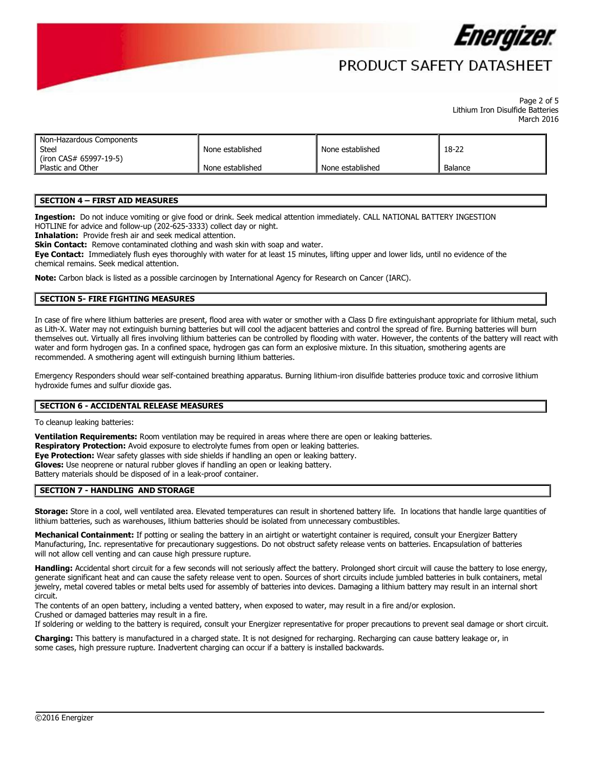

## PRODUCT SAFFTY DATASHFFT

#### Page 2 of 5 March 2016 Lithium Iron Disulfide Batteries

| Non-Hazardous Components<br>Steel<br>None established |                  | None established | 18-22   |
|-------------------------------------------------------|------------------|------------------|---------|
| (iron CAS# 65997-19-5)<br>Plastic and Other           | None established | None established | Balance |

### **SECTION 4 – FIRST AID MEASURES**

 **Ingestion:** Do not induce vomiting or give food or drink. Seek medical attention immediately. CALL NATIONAL BATTERY INGESTION HOTLINE for advice and follow-up (202-625-3333) collect day or night.

**Inhalation:** Provide fresh air and seek medical attention.

**Skin Contact:** Remove contaminated clothing and wash skin with soap and water.

**Eye Contact:** Immediately flush eyes thoroughly with water for at least 15 minutes, lifting upper and lower lids, until no evidence of the chemical remains. Seek medical attention.

**Note:** Carbon black is listed as a possible carcinogen by International Agency for Research on Cancer (IARC).

### **SECTION 5- FIRE FIGHTING MEASURES**

In case of fire where lithium batteries are present, flood area with water or smother with a Class D fire extinguishant appropriate for lithium metal, such as Lith-X. Water may not extinguish burning batteries but will cool the adjacent batteries and control the spread of fire. Burning batteries will burn themselves out. Virtually all fires involving lithium batteries can be controlled by flooding with water. However, the contents of the battery will react with water and form hydrogen gas. In a confined space, hydrogen gas can form an explosive mixture. In this situation, smothering agents are recommended. A smothering agent will extinguish burning lithium batteries.

Emergency Responders should wear self-contained breathing apparatus. Burning lithium-iron disulfide batteries produce toxic and corrosive lithium hydroxide fumes and sulfur dioxide gas.

### **SECTION 6 - ACCIDENTAL RELEASE MEASURES**

To cleanup leaking batteries:

 Battery materials should be disposed of in a leak-proof container. **Ventilation Requirements:** Room ventilation may be required in areas where there are open or leaking batteries. **Respiratory Protection:** Avoid exposure to electrolyte fumes from open or leaking batteries. **Eye Protection:** Wear safety glasses with side shields if handling an open or leaking battery. **Gloves:** Use neoprene or natural rubber gloves if handling an open or leaking battery.

#### **SECTION 7 - HANDLING AND STORAGE**

 **Storage:** Store in a cool, well ventilated area. Elevated temperatures can result in shortened battery life. In locations that handle large quantities of lithium batteries, such as warehouses, lithium batteries should be isolated from unnecessary combustibles.

Mechanical Containment: If potting or sealing the battery in an airtight or watertight container is required, consult your Energizer Battery Manufacturing, Inc. representative for precautionary suggestions. Do not obstruct safety release vents on batteries. Encapsulation of batteries will not allow cell venting and can cause high pressure rupture.

 circuit. **Handling:** Accidental short circuit for a few seconds will not seriously affect the battery. Prolonged short circuit will cause the battery to lose energy, generate significant heat and can cause the safety release vent to open. Sources of short circuits include jumbled batteries in bulk containers, metal jewelry, metal covered tables or metal belts used for assembly of batteries into devices. Damaging a lithium battery may result in an internal short

 Crushed or damaged batteries may result in a fire. The contents of an open battery, including a vented battery, when exposed to water, may result in a fire and/or explosion.

If soldering or welding to the battery is required, consult your Energizer representative for proper precautions to prevent seal damage or short circuit.

 **Charging:** This battery is manufactured in a charged state. It is not designed for recharging. Recharging can cause battery leakage or, in some cases, high pressure rupture. Inadvertent charging can occur if a battery is installed backwards.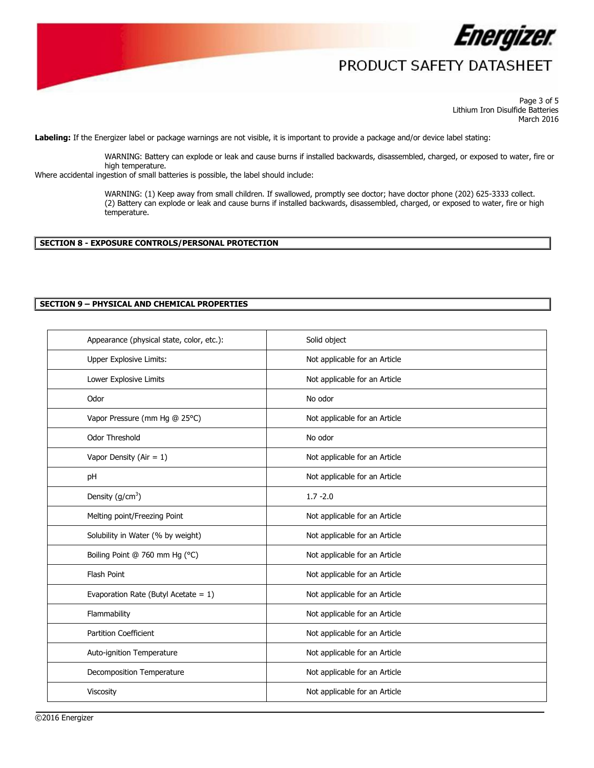

 Page 3 of 5 March 2016 Lithium Iron Disulfide Batteries

**Labeling:** If the Energizer label or package warnings are not visible, it is important to provide a package and/or device label stating:

WARNING: Battery can explode or leak and cause burns if installed backwards, disassembled, charged, or exposed to water, fire or

high temperature. Where accidental ingestion of small batteries is possible, the label should include:

 WARNING: (1) Keep away from small children. If swallowed, promptly see doctor; have doctor phone (202) 625-3333 collect. temperature. (2) Battery can explode or leak and cause burns if installed backwards, disassembled, charged, or exposed to water, fire or high

#### **SECTION 8 - EXPOSURE CONTROLS/PERSONAL PROTECTION**

### **SECTION 9 – PHYSICAL AND CHEMICAL PROPERTIES**

| Appearance (physical state, color, etc.): | Solid object                  |
|-------------------------------------------|-------------------------------|
| Upper Explosive Limits:                   | Not applicable for an Article |
| Lower Explosive Limits                    | Not applicable for an Article |
| Odor                                      | No odor                       |
| Vapor Pressure (mm Hg @ 25°C)             | Not applicable for an Article |
| <b>Odor Threshold</b>                     | No odor                       |
| Vapor Density (Air = $1$ )                | Not applicable for an Article |
| pH                                        | Not applicable for an Article |
| Density $(g/cm3)$                         | $1.7 - 2.0$                   |
| Melting point/Freezing Point              | Not applicable for an Article |
| Solubility in Water (% by weight)         | Not applicable for an Article |
| Boiling Point @ 760 mm Hg (°C)            | Not applicable for an Article |
| Flash Point                               | Not applicable for an Article |
| Evaporation Rate (Butyl Acetate = $1$ )   | Not applicable for an Article |
| Flammability                              | Not applicable for an Article |
| <b>Partition Coefficient</b>              | Not applicable for an Article |
| Auto-ignition Temperature                 | Not applicable for an Article |
| Decomposition Temperature                 | Not applicable for an Article |
| Viscosity                                 | Not applicable for an Article |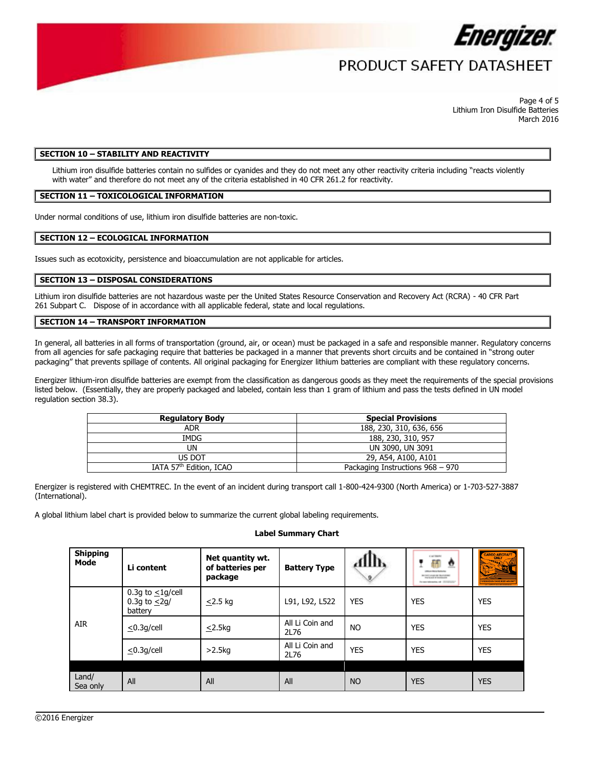

 Page 4 of 5 March 2016 Lithium Iron Disulfide Batteries

#### **SECTION 10 – STABILITY AND REACTIVITY**

 with water" and therefore do not meet any of the criteria established in 40 CFR 261.2 for reactivity. Lithium iron disulfide batteries contain no sulfides or cyanides and they do not meet any other reactivity criteria including "reacts violently

### **SECTION 11 – TOXICOLOGICAL INFORMATION**

Under normal conditions of use, lithium iron disulfide batteries are non-toxic.

#### **SECTION 12 – ECOLOGICAL INFORMATION**

Issues such as ecotoxicity, persistence and bioaccumulation are not applicable for articles.

### **SECTION 13 – DISPOSAL CONSIDERATIONS**

 Lithium iron disulfide batteries are not hazardous waste per the United States Resource Conservation and Recovery Act (RCRA) - 40 CFR Part 261 Subpart C. Dispose of in accordance with all applicable federal, state and local regulations.

#### **SECTION 14 – TRANSPORT INFORMATION**

In general, all batteries in all forms of transportation (ground, air, or ocean) must be packaged in a safe and responsible manner. Regulatory concerns from all agencies for safe packaging require that batteries be packaged in a manner that prevents short circuits and be contained in "strong outer packaging" that prevents spillage of contents. All original packaging for Energizer lithium batteries are compliant with these regulatory concerns.

 listed below. (Essentially, they are properly packaged and labeled, contain less than 1 gram of lithium and pass the tests defined in UN model Energizer lithium-iron disulfide batteries are exempt from the classification as dangerous goods as they meet the requirements of the special provisions regulation section 38.3).

| <b>Regulatory Body</b>              | <b>Special Provisions</b>        |  |  |
|-------------------------------------|----------------------------------|--|--|
| <b>ADR</b>                          | 188, 230, 310, 636, 656          |  |  |
| IMDG                                | 188, 230, 310, 957               |  |  |
| UN                                  | UN 3090, UN 3091                 |  |  |
| US DOT                              | 29, A54, A100, A101              |  |  |
| IATA 57 <sup>th</sup> Edition, ICAO | Packaging Instructions 968 - 970 |  |  |

Energizer is registered with CHEMTREC. In the event of an incident during transport call 1-800-424-9300 (North America) or 1-703-527-3887 (International).

A global lithium label chart is provided below to summarize the current global labeling requirements.

#### **Label Summary Chart**

| <b>Shipping</b><br>Mode | Li content                                              | Net quantity wt.<br>of batteries per<br>package | <b>Battery Type</b>     | AllIb<br>9 | CALTERN<br>ff<br>$\overline{\mathbf{v}}$<br>NEVADA DE GUARDIA<br>will said at building one<br>For open behindering and . (2012) Contact | CARGO AIRCRAFT<br>ए रहा |
|-------------------------|---------------------------------------------------------|-------------------------------------------------|-------------------------|------------|-----------------------------------------------------------------------------------------------------------------------------------------|-------------------------|
| AIR                     | 0.3g to $\leq$ 1g/cell<br>0.3g to $\leq$ 2g/<br>battery | $\leq$ 2.5 kg                                   | L91, L92, L522          | <b>YES</b> | YES                                                                                                                                     | <b>YES</b>              |
|                         | $\leq$ 0.3q/cell                                        | $\leq$ 2.5kg                                    | All Li Coin and<br>2L76 | <b>NO</b>  | YES                                                                                                                                     | <b>YES</b>              |
|                         | $\leq$ 0.3q/cell                                        | $>2.5$ kg                                       | All Li Coin and<br>2L76 | YES        | YES                                                                                                                                     | <b>YES</b>              |
| Land/<br>Sea only       | All                                                     | All                                             | All                     | <b>NO</b>  | <b>YES</b>                                                                                                                              | <b>YES</b>              |